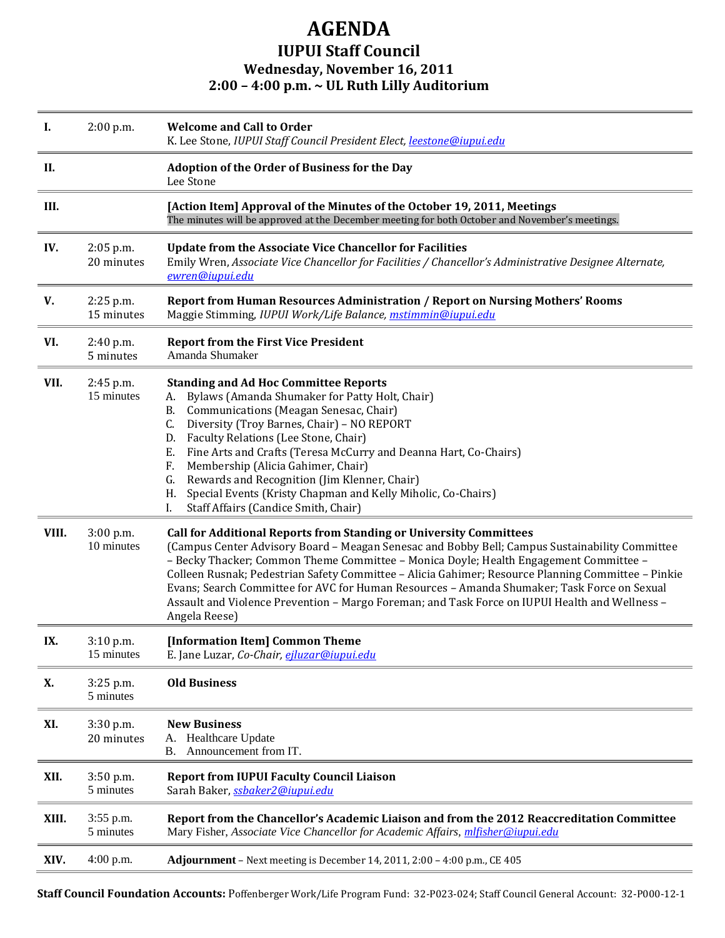## **AGENDA IUPUI Staff Council Wednesday, November 16, 2011 2:00 – 4:00 p.m. ~ UL Ruth Lilly Auditorium**

| Ι.    | 2:00 p.m.                 | <b>Welcome and Call to Order</b><br>K. Lee Stone, IUPUI Staff Council President Elect, leestone@iupui.edu                                                                                                                                                                                                                                                                                                                                                                                                                                                                                    |
|-------|---------------------------|----------------------------------------------------------------------------------------------------------------------------------------------------------------------------------------------------------------------------------------------------------------------------------------------------------------------------------------------------------------------------------------------------------------------------------------------------------------------------------------------------------------------------------------------------------------------------------------------|
| II.   |                           | <b>Adoption of the Order of Business for the Day</b><br>Lee Stone                                                                                                                                                                                                                                                                                                                                                                                                                                                                                                                            |
| III.  |                           | [Action Item] Approval of the Minutes of the October 19, 2011, Meetings<br>The minutes will be approved at the December meeting for both October and November's meetings.                                                                                                                                                                                                                                                                                                                                                                                                                    |
| IV.   | $2:05$ p.m.<br>20 minutes | <b>Update from the Associate Vice Chancellor for Facilities</b><br>Emily Wren, Associate Vice Chancellor for Facilities / Chancellor's Administrative Designee Alternate,<br>ewren@iupui.edu                                                                                                                                                                                                                                                                                                                                                                                                 |
| V.    | $2:25$ p.m.<br>15 minutes | Report from Human Resources Administration / Report on Nursing Mothers' Rooms<br>Maggie Stimming, IUPUI Work/Life Balance, mstimmin@iupui.edu                                                                                                                                                                                                                                                                                                                                                                                                                                                |
| VI.   | 2:40 p.m.<br>5 minutes    | <b>Report from the First Vice President</b><br>Amanda Shumaker                                                                                                                                                                                                                                                                                                                                                                                                                                                                                                                               |
| VII.  | 2:45 p.m.<br>15 minutes   | <b>Standing and Ad Hoc Committee Reports</b><br>Bylaws (Amanda Shumaker for Patty Holt, Chair)<br>А.<br>Communications (Meagan Senesac, Chair)<br>В.<br>Diversity (Troy Barnes, Chair) - NO REPORT<br>C.<br>Faculty Relations (Lee Stone, Chair)<br>D.<br>Fine Arts and Crafts (Teresa McCurry and Deanna Hart, Co-Chairs)<br>Е.<br>Membership (Alicia Gahimer, Chair)<br>F.<br>Rewards and Recognition (Jim Klenner, Chair)<br>G.<br>Special Events (Kristy Chapman and Kelly Miholic, Co-Chairs)<br>Н.<br>Staff Affairs (Candice Smith, Chair)<br>I.                                       |
| VIII. | $3:00$ p.m.<br>10 minutes | <b>Call for Additional Reports from Standing or University Committees</b><br>(Campus Center Advisory Board - Meagan Senesac and Bobby Bell; Campus Sustainability Committee<br>- Becky Thacker; Common Theme Committee - Monica Doyle; Health Engagement Committee -<br>Colleen Rusnak; Pedestrian Safety Committee - Alicia Gahimer; Resource Planning Committee - Pinkie<br>Evans; Search Committee for AVC for Human Resources - Amanda Shumaker; Task Force on Sexual<br>Assault and Violence Prevention - Margo Foreman; and Task Force on IUPUI Health and Wellness -<br>Angela Reese) |
| IX.   | $3:10$ p.m.<br>15 minutes | [Information Item] Common Theme<br>E. Jane Luzar, Co-Chair, eiluzar@iupui.edu                                                                                                                                                                                                                                                                                                                                                                                                                                                                                                                |
| X.    | 3:25 p.m.<br>5 minutes    | <b>Old Business</b>                                                                                                                                                                                                                                                                                                                                                                                                                                                                                                                                                                          |
| XI.   | 3:30 p.m.<br>20 minutes   | <b>New Business</b><br>Healthcare Update<br>А.<br>Announcement from IT.<br><b>B.</b>                                                                                                                                                                                                                                                                                                                                                                                                                                                                                                         |
| XII.  | $3:50$ p.m.<br>5 minutes  | <b>Report from IUPUI Faculty Council Liaison</b><br>Sarah Baker, ssbaker2@iupui.edu                                                                                                                                                                                                                                                                                                                                                                                                                                                                                                          |
| XIII. | 3:55 p.m.<br>5 minutes    | Report from the Chancellor's Academic Liaison and from the 2012 Reaccreditation Committee<br>Mary Fisher, Associate Vice Chancellor for Academic Affairs, mlfisher@iupui.edu                                                                                                                                                                                                                                                                                                                                                                                                                 |
| XIV.  | 4:00 p.m.                 | Adjournment - Next meeting is December 14, 2011, 2:00 - 4:00 p.m., CE 405                                                                                                                                                                                                                                                                                                                                                                                                                                                                                                                    |

**Staff Council Foundation Accounts:** Poffenberger Work/Life Program Fund: 32-P023-024; Staff Council General Account: 32-P000-12-1